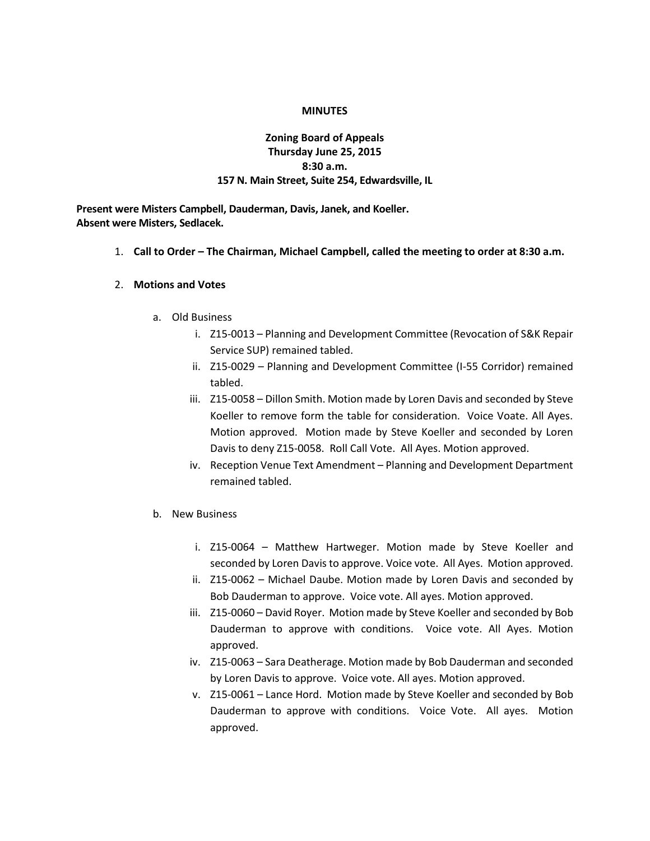#### **MINUTES**

### **Zoning Board of Appeals Thursday June 25, 2015 8:30 a.m. 157 N. Main Street, Suite 254, Edwardsville, IL**

**Present were Misters Campbell, Dauderman, Davis, Janek, and Koeller. Absent were Misters, Sedlacek.**

1. **Call to Order – The Chairman, Michael Campbell, called the meeting to order at 8:30 a.m.**

#### 2. **Motions and Votes**

- a. Old Business
	- i. Z15-0013 Planning and Development Committee (Revocation of S&K Repair Service SUP) remained tabled.
	- ii. Z15-0029 Planning and Development Committee (I-55 Corridor) remained tabled.
	- iii. Z15-0058 Dillon Smith. Motion made by Loren Davis and seconded by Steve Koeller to remove form the table for consideration. Voice Voate. All Ayes. Motion approved. Motion made by Steve Koeller and seconded by Loren Davis to deny Z15-0058. Roll Call Vote. All Ayes. Motion approved.
	- iv. Reception Venue Text Amendment Planning and Development Department remained tabled.
- b. New Business
	- i. Z15-0064 Matthew Hartweger. Motion made by Steve Koeller and seconded by Loren Davis to approve. Voice vote. All Ayes. Motion approved.
	- ii. Z15-0062 Michael Daube. Motion made by Loren Davis and seconded by Bob Dauderman to approve. Voice vote. All ayes. Motion approved.
	- iii. Z15-0060 David Royer. Motion made by Steve Koeller and seconded by Bob Dauderman to approve with conditions. Voice vote. All Ayes. Motion approved.
	- iv. Z15-0063 Sara Deatherage. Motion made by Bob Dauderman and seconded by Loren Davis to approve. Voice vote. All ayes. Motion approved.
	- v. Z15-0061 Lance Hord. Motion made by Steve Koeller and seconded by Bob Dauderman to approve with conditions. Voice Vote. All ayes. Motion approved.